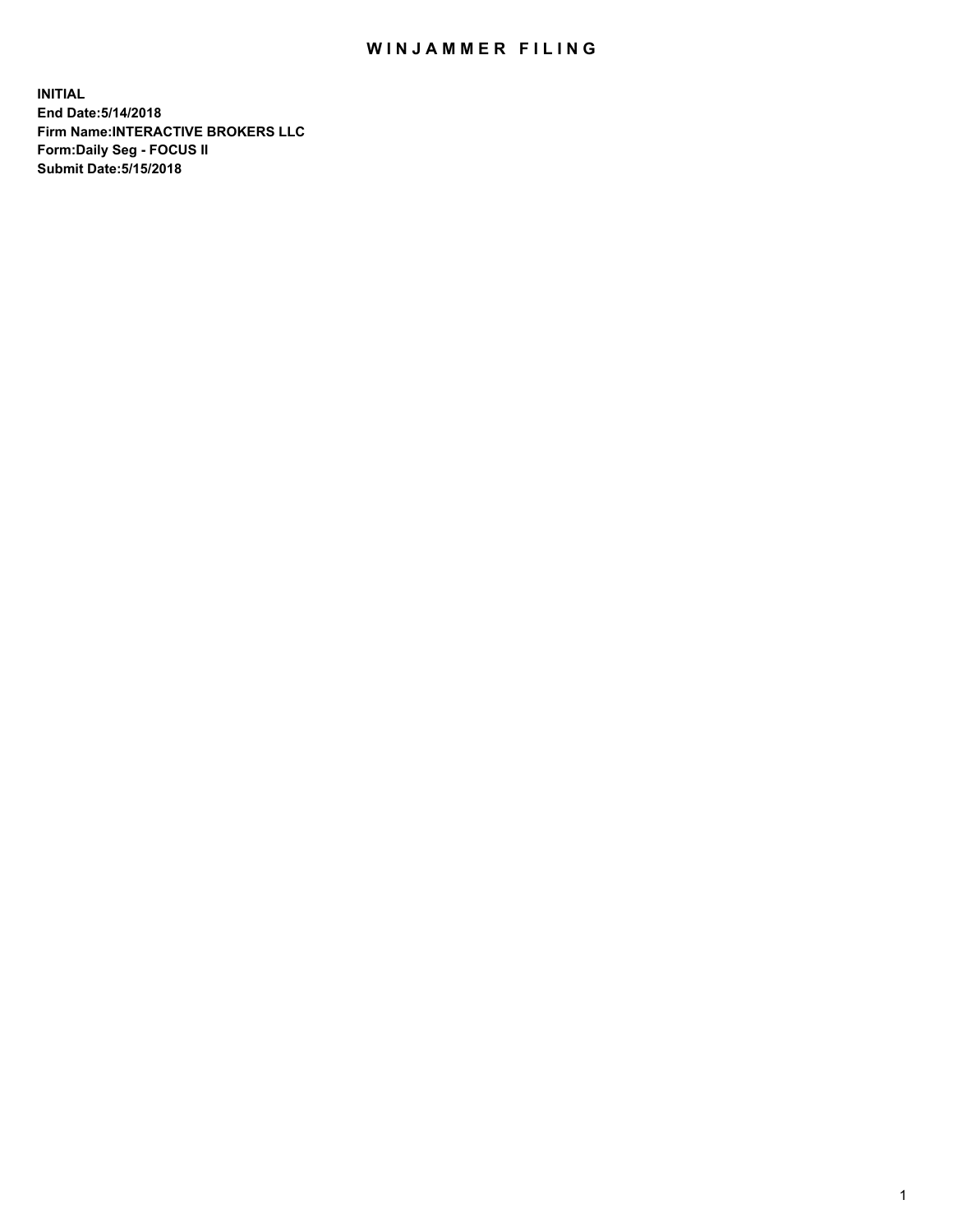## WIN JAMMER FILING

**INITIAL End Date:5/14/2018 Firm Name:INTERACTIVE BROKERS LLC Form:Daily Seg - FOCUS II Submit Date:5/15/2018**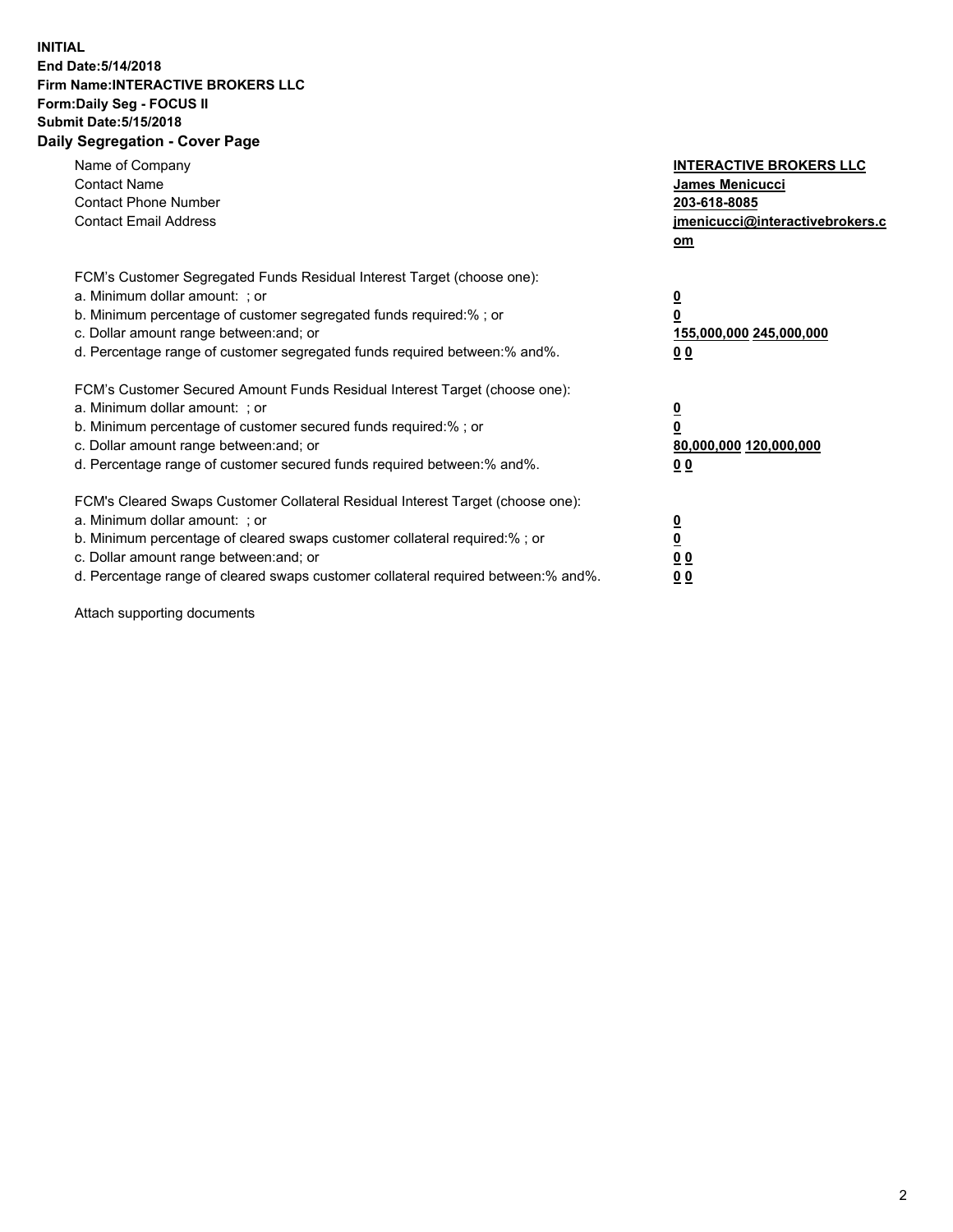## **INITIAL End Date:5/14/2018 Firm Name:INTERACTIVE BROKERS LLC Form:Daily Seg - FOCUS II Submit Date:5/15/2018 Daily Segregation - Cover Page**

| Name of Company<br><b>Contact Name</b><br><b>Contact Phone Number</b><br><b>Contact Email Address</b>                                                                                                                                                                                                                          | <b>INTERACTIVE BROKERS LLC</b><br><b>James Menicucci</b><br>203-618-8085<br>jmenicucci@interactivebrokers.c<br>om |
|--------------------------------------------------------------------------------------------------------------------------------------------------------------------------------------------------------------------------------------------------------------------------------------------------------------------------------|-------------------------------------------------------------------------------------------------------------------|
| FCM's Customer Segregated Funds Residual Interest Target (choose one):<br>a. Minimum dollar amount: ; or<br>b. Minimum percentage of customer segregated funds required:% ; or<br>c. Dollar amount range between: and; or<br>d. Percentage range of customer segregated funds required between: % and %.                       | $\overline{\mathbf{0}}$<br>0<br>155,000,000 245,000,000<br>00                                                     |
| FCM's Customer Secured Amount Funds Residual Interest Target (choose one):<br>a. Minimum dollar amount: ; or<br>b. Minimum percentage of customer secured funds required:%; or<br>c. Dollar amount range between: and; or<br>d. Percentage range of customer secured funds required between: % and %.                          | $\overline{\mathbf{0}}$<br>0<br>80,000,000 120,000,000<br>00                                                      |
| FCM's Cleared Swaps Customer Collateral Residual Interest Target (choose one):<br>a. Minimum dollar amount: ; or<br>b. Minimum percentage of cleared swaps customer collateral required:% ; or<br>c. Dollar amount range between: and; or<br>d. Percentage range of cleared swaps customer collateral required between:% and%. | $\overline{\mathbf{0}}$<br>$\overline{\mathbf{0}}$<br>00<br>0 <sub>0</sub>                                        |

Attach supporting documents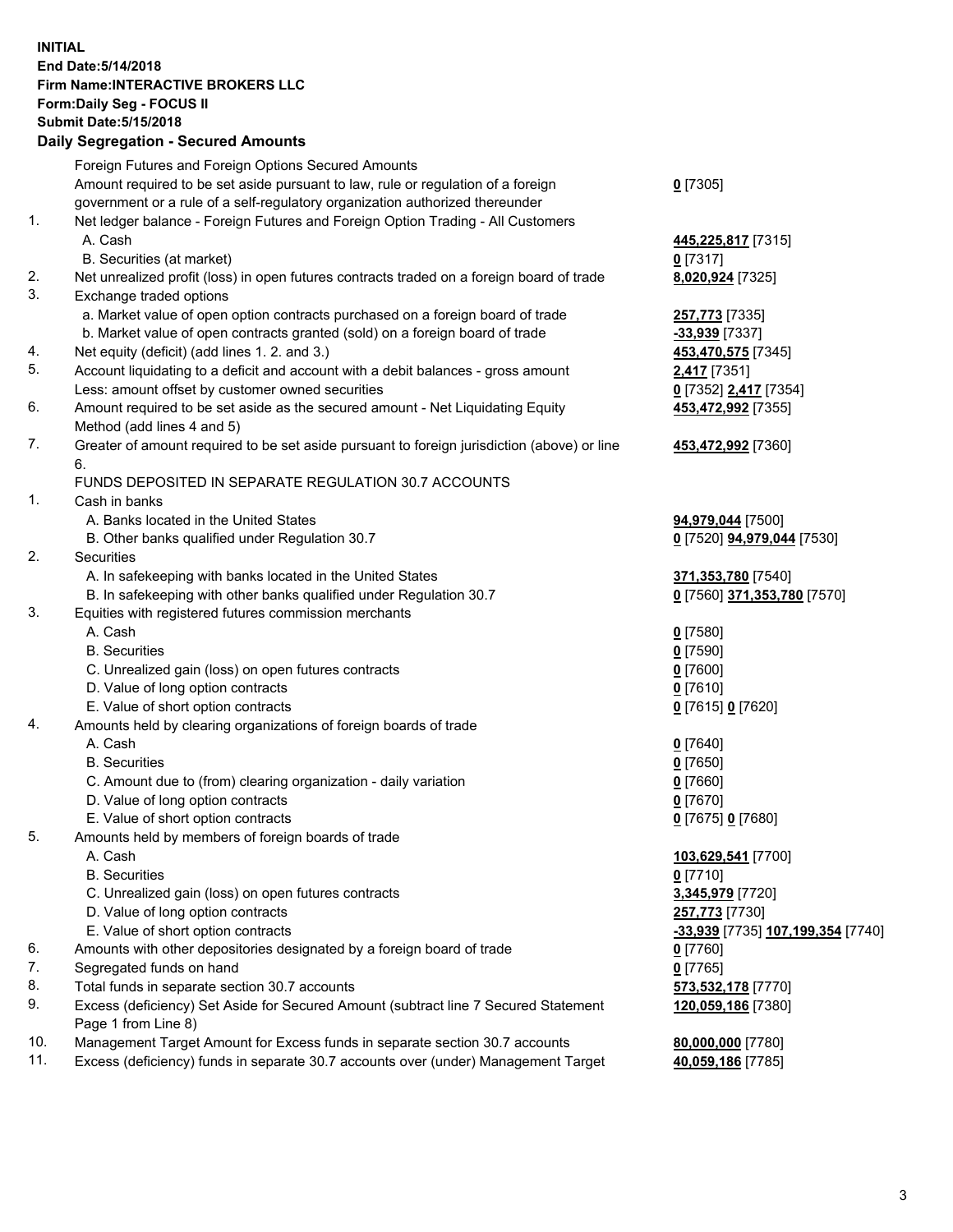## **INITIAL End Date:5/14/2018 Firm Name:INTERACTIVE BROKERS LLC Form:Daily Seg - FOCUS II Submit Date:5/15/2018 Daily Segregation - Secured Amounts**

|                | Daily Jegregation - Jeculed Aniounts                                                        |                                   |
|----------------|---------------------------------------------------------------------------------------------|-----------------------------------|
|                | Foreign Futures and Foreign Options Secured Amounts                                         |                                   |
|                | Amount required to be set aside pursuant to law, rule or regulation of a foreign            | $0$ [7305]                        |
|                | government or a rule of a self-regulatory organization authorized thereunder                |                                   |
| 1.             | Net ledger balance - Foreign Futures and Foreign Option Trading - All Customers             |                                   |
|                | A. Cash                                                                                     | 445,225,817 [7315]                |
|                | B. Securities (at market)                                                                   | $0$ [7317]                        |
| 2.             | Net unrealized profit (loss) in open futures contracts traded on a foreign board of trade   | 8,020,924 [7325]                  |
| 3.             | Exchange traded options                                                                     |                                   |
|                | a. Market value of open option contracts purchased on a foreign board of trade              | 257,773 [7335]                    |
|                | b. Market value of open contracts granted (sold) on a foreign board of trade                | -33,939 [7337]                    |
| 4.             | Net equity (deficit) (add lines 1.2. and 3.)                                                | 453,470,575 [7345]                |
| 5.             | Account liquidating to a deficit and account with a debit balances - gross amount           | 2,417 [7351]                      |
|                | Less: amount offset by customer owned securities                                            | 0 [7352] 2,417 [7354]             |
| 6.             | Amount required to be set aside as the secured amount - Net Liquidating Equity              | 453,472,992 [7355]                |
|                | Method (add lines 4 and 5)                                                                  |                                   |
| 7.             | Greater of amount required to be set aside pursuant to foreign jurisdiction (above) or line | 453,472,992 [7360]                |
|                | 6.                                                                                          |                                   |
|                | FUNDS DEPOSITED IN SEPARATE REGULATION 30.7 ACCOUNTS                                        |                                   |
| $\mathbf{1}$ . | Cash in banks                                                                               |                                   |
|                | A. Banks located in the United States                                                       | 94,979,044 [7500]                 |
|                | B. Other banks qualified under Regulation 30.7                                              | 0 [7520] 94,979,044 [7530]        |
| 2.             | Securities                                                                                  |                                   |
|                | A. In safekeeping with banks located in the United States                                   | 371,353,780 [7540]                |
|                | B. In safekeeping with other banks qualified under Regulation 30.7                          | 0 [7560] 371,353,780 [7570]       |
| 3.             | Equities with registered futures commission merchants                                       |                                   |
|                | A. Cash                                                                                     | $0$ [7580]                        |
|                | <b>B.</b> Securities                                                                        | $0$ [7590]                        |
|                | C. Unrealized gain (loss) on open futures contracts                                         | $0$ [7600]                        |
|                | D. Value of long option contracts                                                           | $0$ [7610]                        |
|                | E. Value of short option contracts                                                          | 0 [7615] 0 [7620]                 |
| 4.             | Amounts held by clearing organizations of foreign boards of trade                           |                                   |
|                | A. Cash                                                                                     | $0$ [7640]                        |
|                | <b>B.</b> Securities                                                                        | $0$ [7650]                        |
|                | C. Amount due to (from) clearing organization - daily variation                             | $0$ [7660]                        |
|                | D. Value of long option contracts                                                           | $0$ [7670]                        |
|                | E. Value of short option contracts                                                          | 0 [7675] 0 [7680]                 |
| 5.             | Amounts held by members of foreign boards of trade                                          |                                   |
|                | A. Cash                                                                                     | 103,629,541 [7700]                |
|                | <b>B.</b> Securities                                                                        | $0$ [7710]                        |
|                | C. Unrealized gain (loss) on open futures contracts                                         | 3,345,979 [7720]                  |
|                | D. Value of long option contracts                                                           | 257,773 [7730]                    |
|                | E. Value of short option contracts                                                          | -33,939 [7735] 107,199,354 [7740] |
| 6.             | Amounts with other depositories designated by a foreign board of trade                      | 0 [7760]                          |
| 7.             | Segregated funds on hand                                                                    | $0$ [7765]                        |
| 8.             | Total funds in separate section 30.7 accounts                                               | 573,532,178 [7770]                |
| 9.             | Excess (deficiency) Set Aside for Secured Amount (subtract line 7 Secured Statement         | 120,059,186 [7380]                |
|                | Page 1 from Line 8)                                                                         |                                   |
| 10.            | Management Target Amount for Excess funds in separate section 30.7 accounts                 | 80,000,000 [7780]                 |
| 11.            | Excess (deficiency) funds in separate 30.7 accounts over (under) Management Target          | 40,059,186 [7785]                 |
|                |                                                                                             |                                   |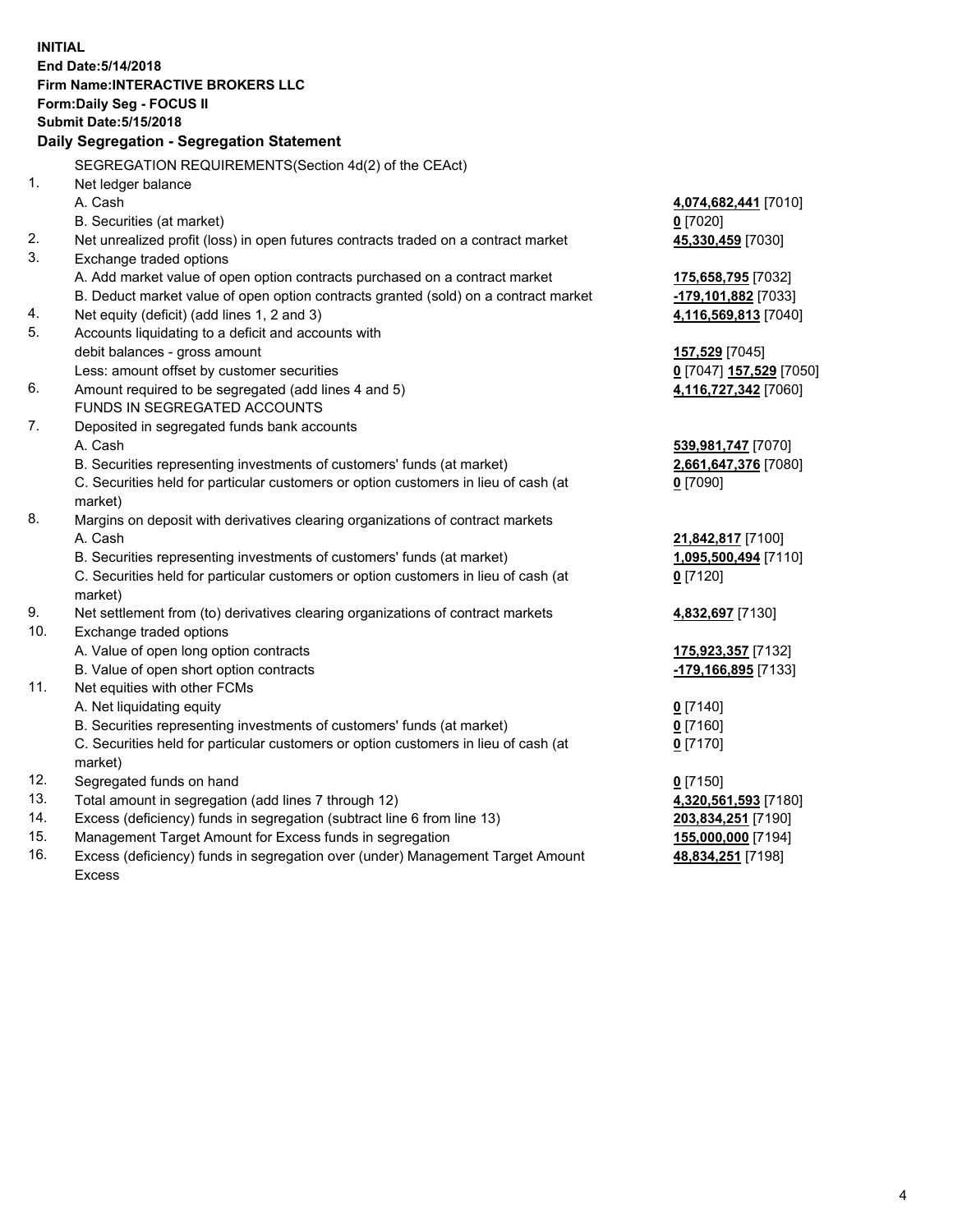**INITIAL End Date:5/14/2018 Firm Name:INTERACTIVE BROKERS LLC Form:Daily Seg - FOCUS II Submit Date:5/15/2018 Daily Segregation - Segregation Statement** SEGREGATION REQUIREMENTS(Section 4d(2) of the CEAct) 1. Net ledger balance A. Cash **4,074,682,441** [7010] B. Securities (at market) **0** [7020] 2. Net unrealized profit (loss) in open futures contracts traded on a contract market **45,330,459** [7030] 3. Exchange traded options A. Add market value of open option contracts purchased on a contract market **175,658,795** [7032] B. Deduct market value of open option contracts granted (sold) on a contract market **-179,101,882** [7033] 4. Net equity (deficit) (add lines 1, 2 and 3) **4,116,569,813** [7040] 5. Accounts liquidating to a deficit and accounts with debit balances - gross amount **157,529** [7045] Less: amount offset by customer securities **0** [7047] **157,529** [7050] 6. Amount required to be segregated (add lines 4 and 5) **4,116,727,342** [7060] FUNDS IN SEGREGATED ACCOUNTS 7. Deposited in segregated funds bank accounts A. Cash **539,981,747** [7070] B. Securities representing investments of customers' funds (at market) **2,661,647,376** [7080] C. Securities held for particular customers or option customers in lieu of cash (at market) **0** [7090] 8. Margins on deposit with derivatives clearing organizations of contract markets A. Cash **21,842,817** [7100] B. Securities representing investments of customers' funds (at market) **1,095,500,494** [7110] C. Securities held for particular customers or option customers in lieu of cash (at market) **0** [7120] 9. Net settlement from (to) derivatives clearing organizations of contract markets **4,832,697** [7130] 10. Exchange traded options A. Value of open long option contracts **175,923,357** [7132] B. Value of open short option contracts **-179,166,895** [7133] 11. Net equities with other FCMs A. Net liquidating equity **0** [7140] B. Securities representing investments of customers' funds (at market) **0** [7160] C. Securities held for particular customers or option customers in lieu of cash (at market) **0** [7170] 12. Segregated funds on hand **0** [7150] 13. Total amount in segregation (add lines 7 through 12) **4,320,561,593** [7180] 14. Excess (deficiency) funds in segregation (subtract line 6 from line 13) **203,834,251** [7190] 15. Management Target Amount for Excess funds in segregation **155,000,000** [7194] **48,834,251** [7198]

16. Excess (deficiency) funds in segregation over (under) Management Target Amount Excess

4